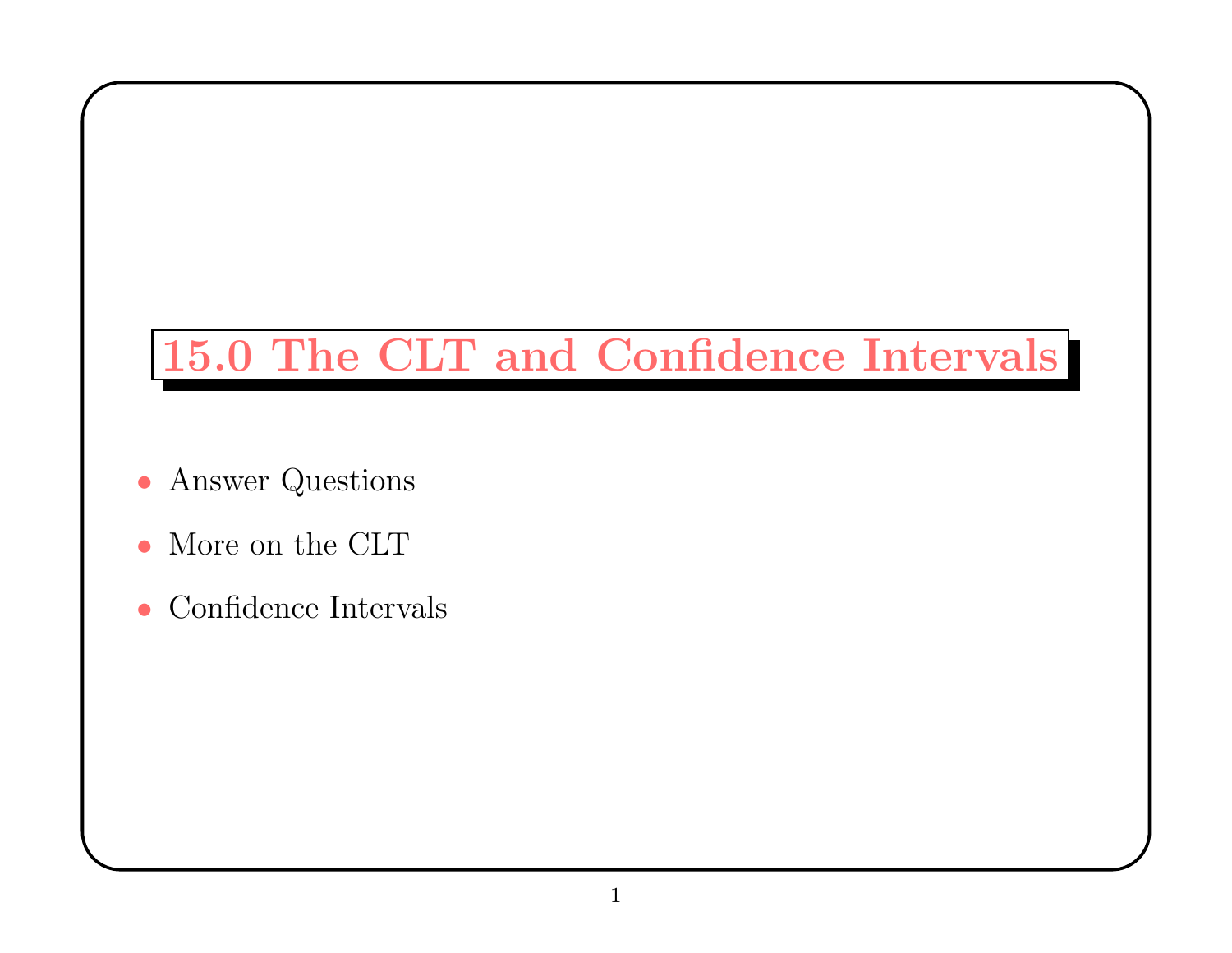## 15.0 The CLT and Confidence Intervals

- Answer Questions
- More on the CLT
- Confidence Intervals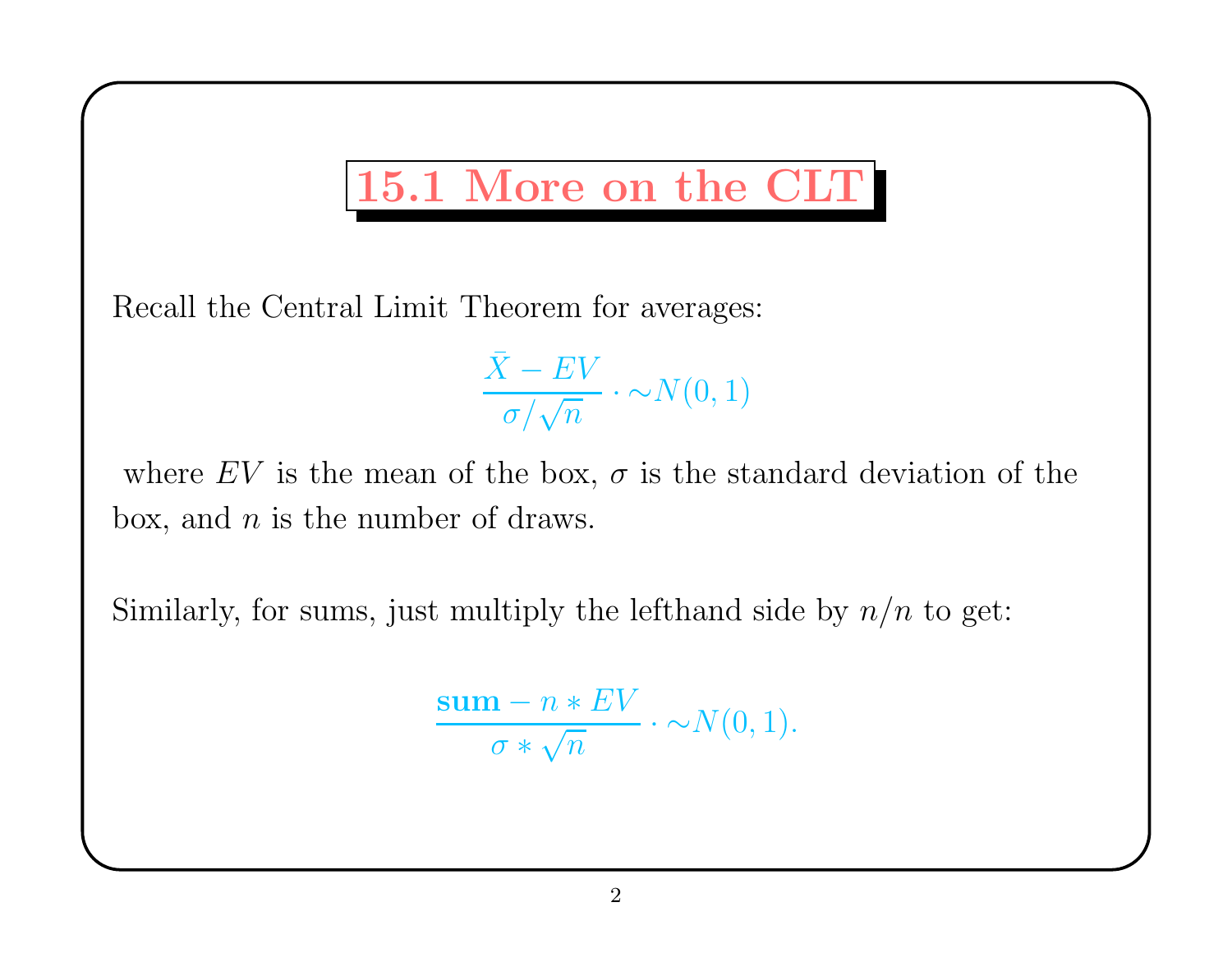## 15.1 More on the CLT

Recall the Central Limit Theorem for averages:

 $\bar{X}$  $X-EV$  $\overline{\sigma/\sqrt{n}}$  .  $\cdot \sim \! N(0,1)$ 

where EV is the mean of the box,  $\sigma$  is the standard deviation of the box, and  $n$  is the number of draws.

Similarly, for sums, just multiply the lefthand side by  $n/n$  to get:

$$
\frac{\mathbf{sum} - n * EV}{\sigma * \sqrt{n}} \cdot \sim N(0, 1).
$$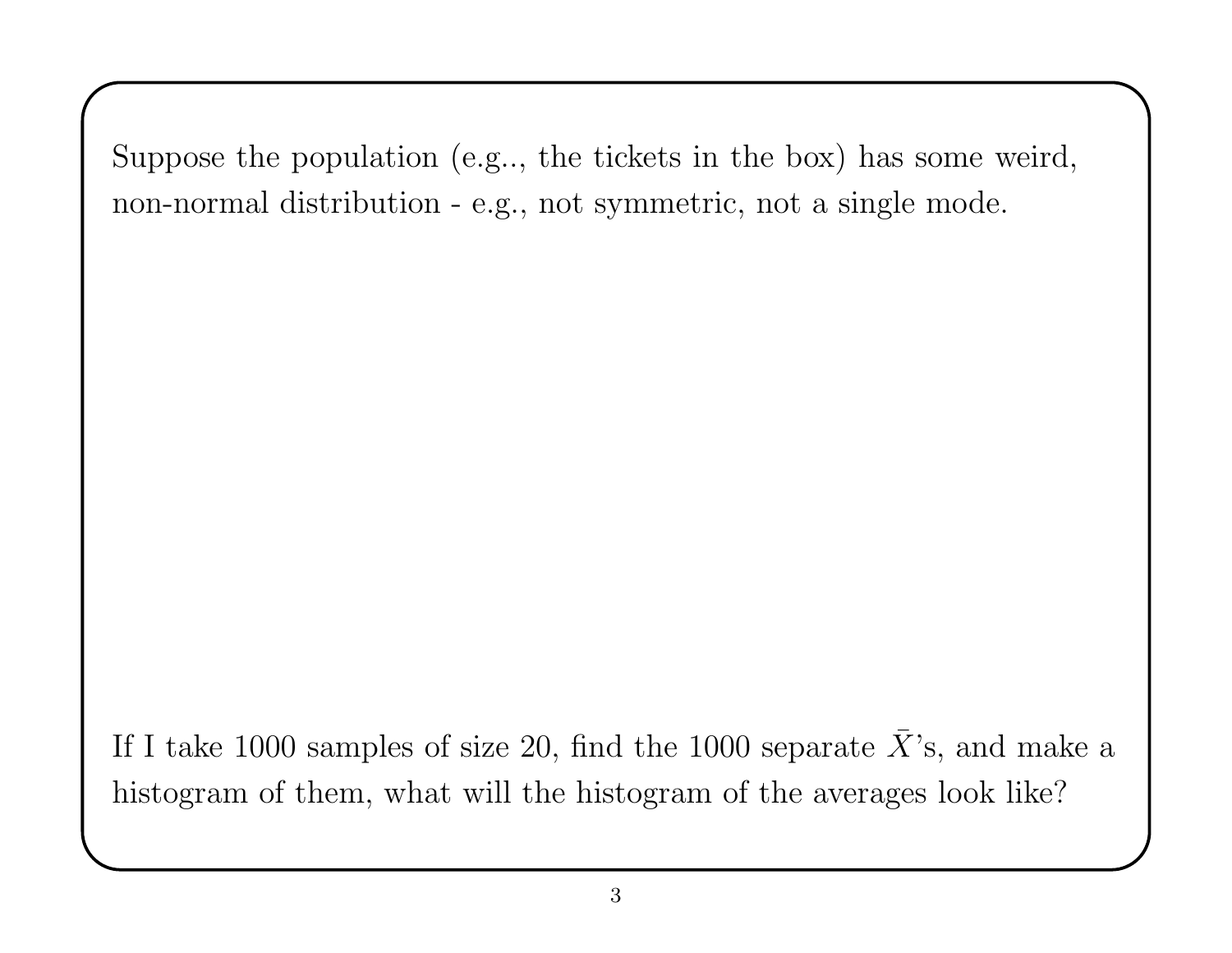Suppose the population (e.g.., the tickets in the box) has some weird, non-normal distribution - e.g., not symmetric, not <sup>a</sup> single mode.

If I take 1000 samples of size 20, find the 1000 separate  $\bar{X}$ 's, and make <sup>a</sup> histogram of them, what will the histogram of the averages look like?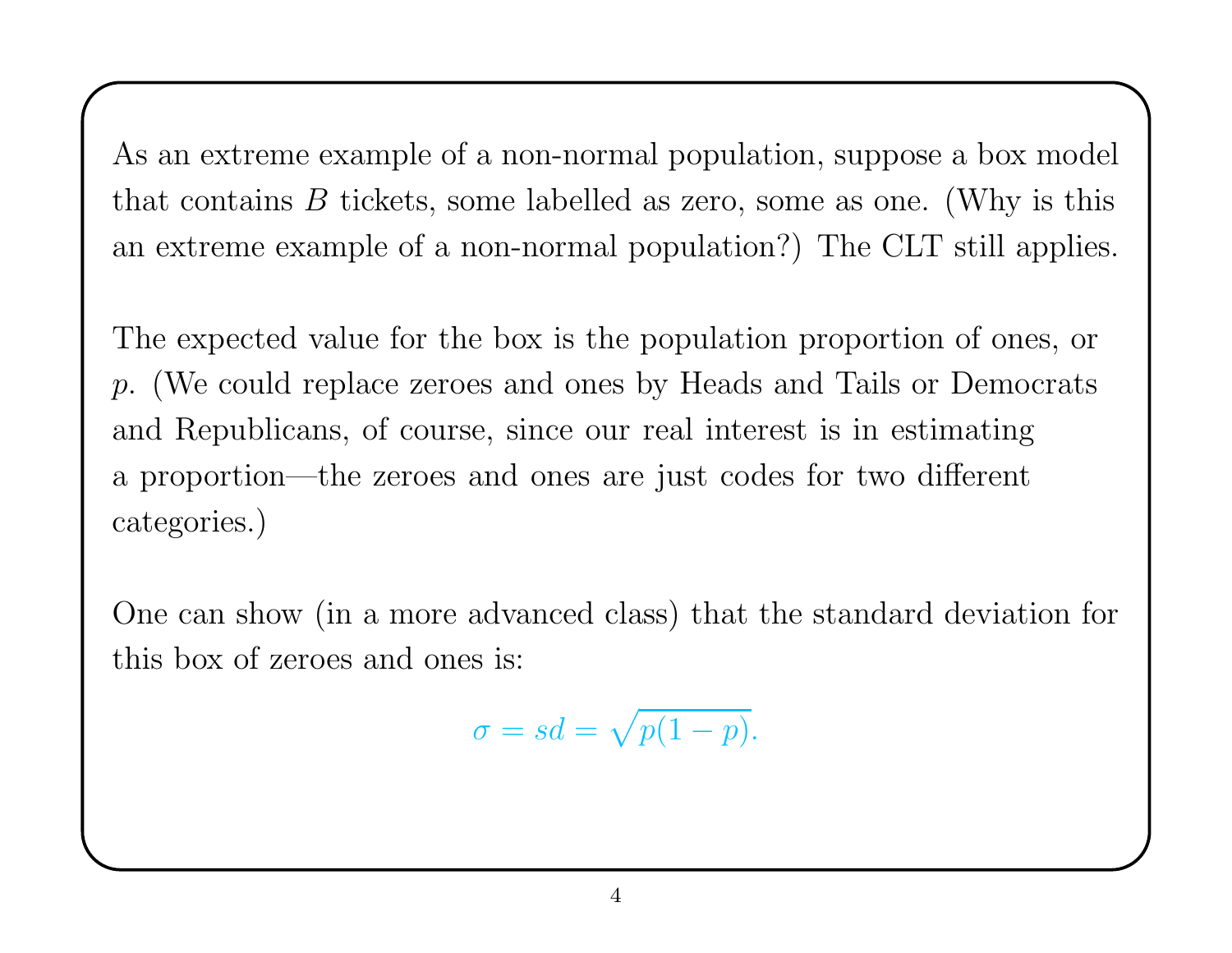As an extreme example of <sup>a</sup> non-normal population, suppose <sup>a</sup> box model that contains  $B$  tickets, some labelled as zero, some as one. (Why is this an extreme example of <sup>a</sup> non-normal population?) The CLT still applies.

The expected value for the box is the population proportion of ones, or <sup>p</sup>. (We could replace zeroes and ones by Heads and Tails or Democrats and Republicans, of course, since our real interest is in estimating <sup>a</sup> proportion—the zeroes and ones are just codes for two different categories.)

One can show (in <sup>a</sup> more advanced class) that the standard deviation for this box of zeroes and ones is:

$$
\sigma = sd = \sqrt{p(1-p)}.
$$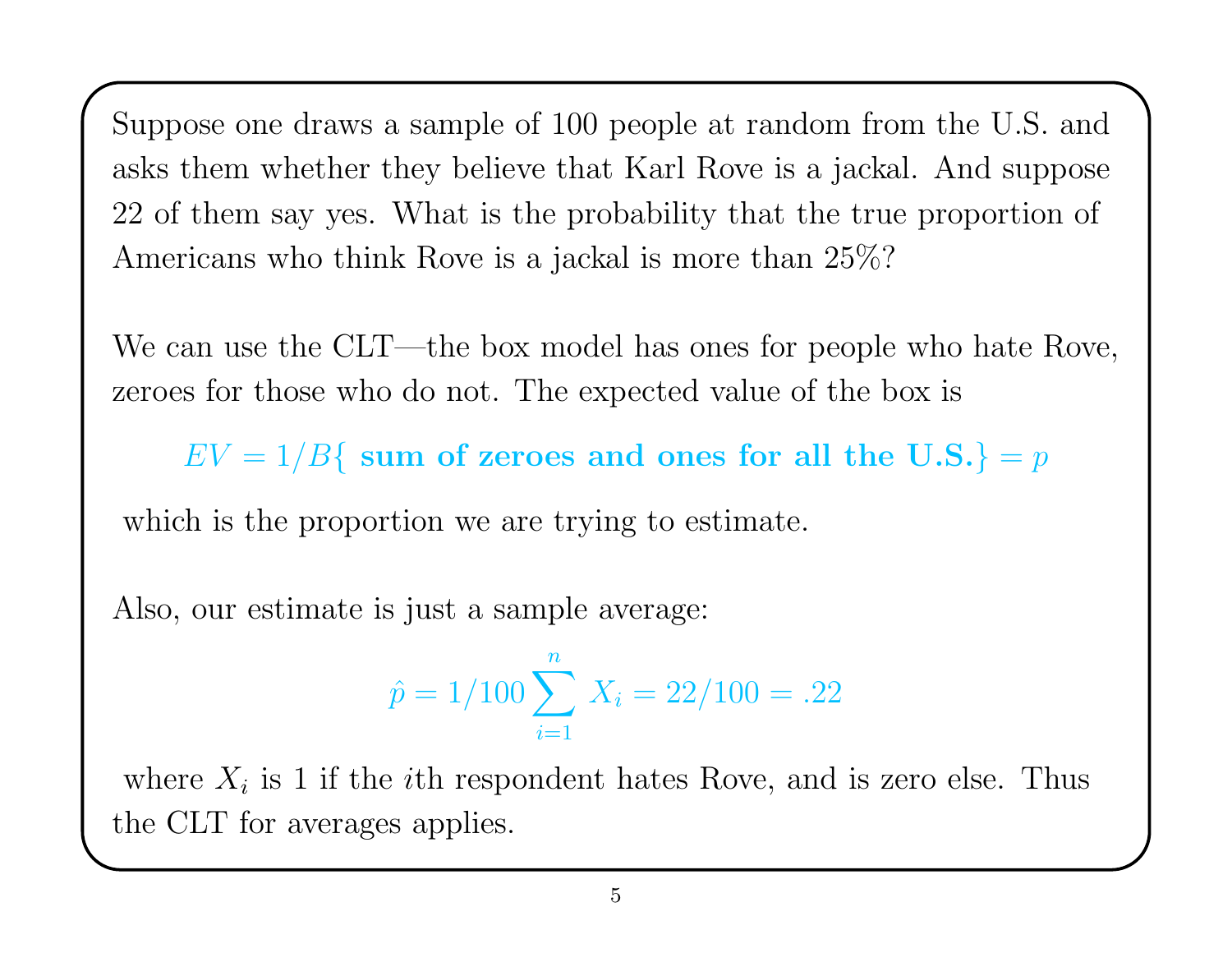Suppose one draws <sup>a</sup> sample of 100 people at random from the U.S. and asks them whether they believe that Karl Rove is <sup>a</sup> jackal. And suppose 22 of them say yes. What is the probability that the true proportion of Americans who think Rove is <sup>a</sup> jackal is more than 25%?

We can use the CLT—the box model has ones for people who hate Rove, zeroes for those who do not. The expected value of the box is

 $EV = 1/B$  sum of zeroes and ones for all the U.S.} = p

which is the proportion we are trying to estimate.

Also, our estimate is just <sup>a</sup> sample average:

$$
\hat{p} = 1/100 \sum_{i=1}^{n} X_i = 22/100 = .22
$$

where  $X_i$  is 1 if the *i*th respondent hates Rove, and is zero else. Thus the CLT for averages applies.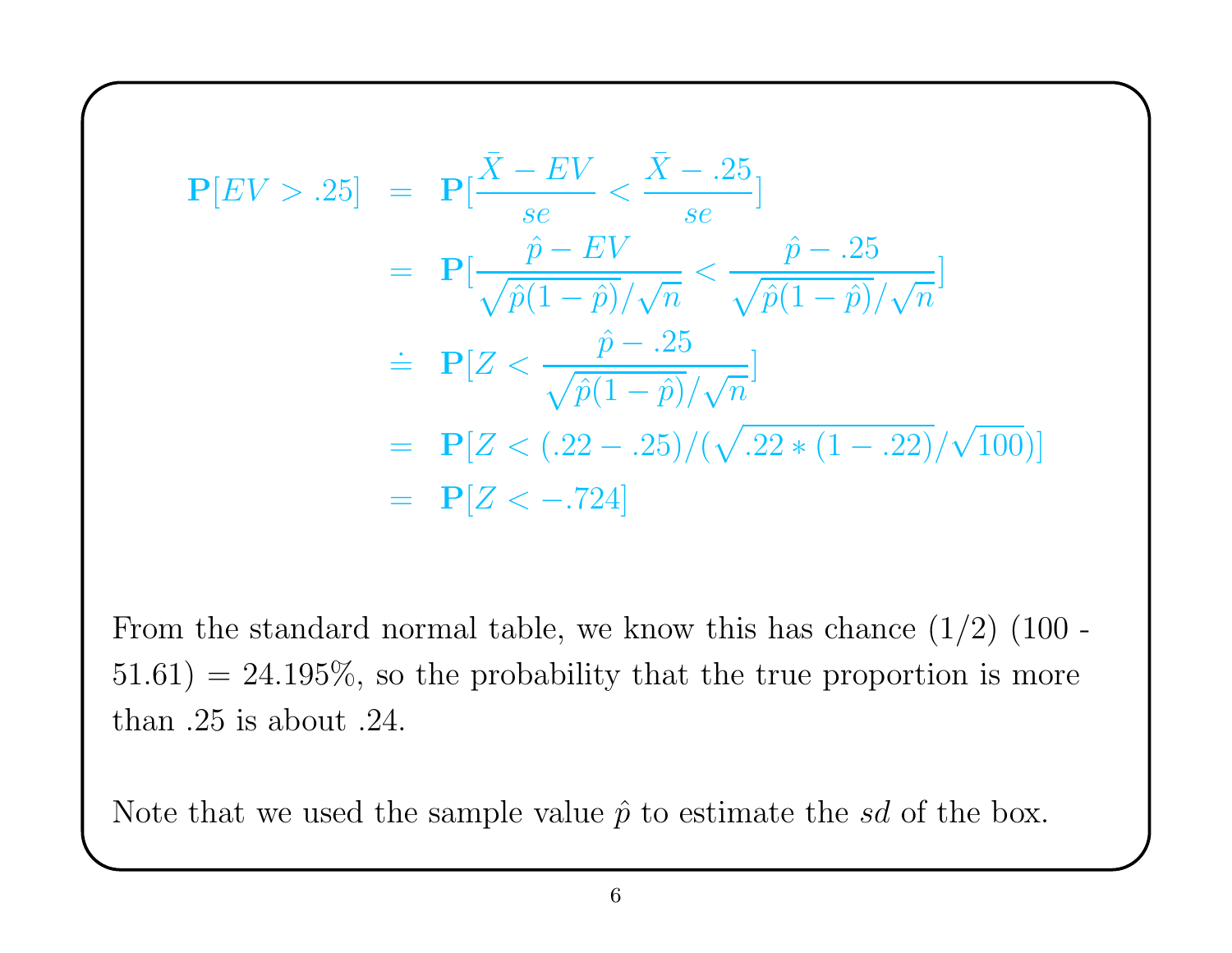$$
\mathbf{P}[EV > .25] = \mathbf{P}[\frac{\bar{X} - EV}{se} < \frac{\bar{X} - .25}{se}]
$$
  
=  $\mathbf{P}[\frac{\hat{p} - EV}{\sqrt{\hat{p}(1 - \hat{p})}/\sqrt{n}} < \frac{\hat{p} - .25}{\sqrt{\hat{p}(1 - \hat{p})}/\sqrt{n}}]$   
=  $\mathbf{P}[Z < \frac{\hat{p} - .25}{\sqrt{\hat{p}(1 - \hat{p})}/\sqrt{n}}]$   
=  $\mathbf{P}[Z < (.22 - .25)/(\sqrt{.22 * (1 - .22)}/\sqrt{100})]$   
=  $\mathbf{P}[Z < -.724]$ 

From the standard normal table, we know this has chance  $(1/2)$   $(100 51.61$ ) = 24.195%, so the probability that the true proportion is more than .25 is about .24.

Note that we used the sample value  $\hat{p}$  to estimate the sd of the box.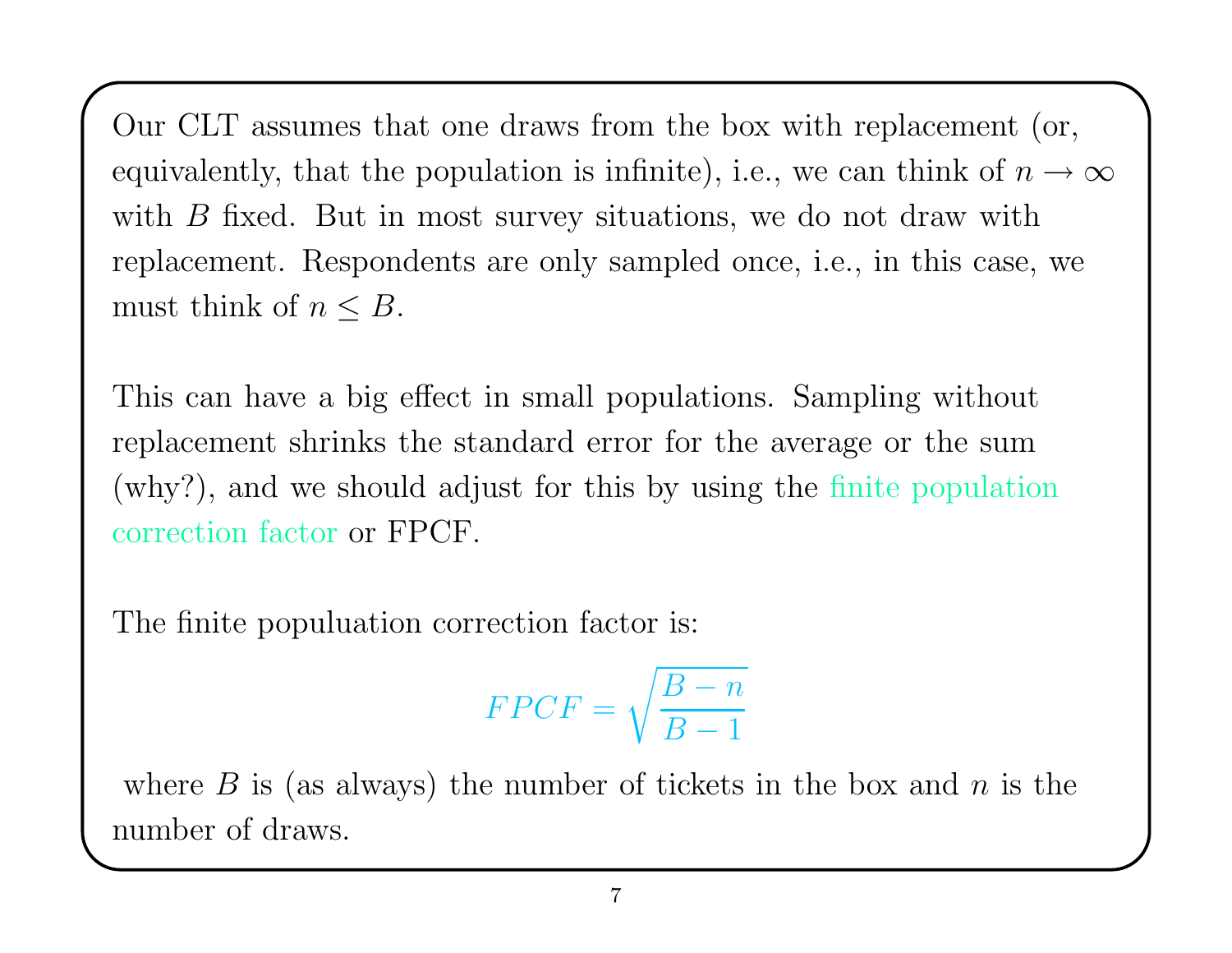Our CLT assumes that one draws from the box with replacement (or, equivalently, that the population is infinite), i.e., we can think of  $n \to \infty$ with  $B$  fixed. But in most survey situations, we do not draw with replacement. Respondents are only sampled once, i.e., in this case, we must think of  $n \leq B$ .

This can have <sup>a</sup> big effect in small populations. Sampling without replacement shrinks the standard error for the average or the sum (why?), and we should adjust for this by using the finite population correction factor or FPCF.

The finite populuation correction factor is:

$$
FPCF = \sqrt{\frac{B-n}{B-1}}
$$

where  $B$  is (as always) the number of tickets in the box and  $n$  is the number of draws.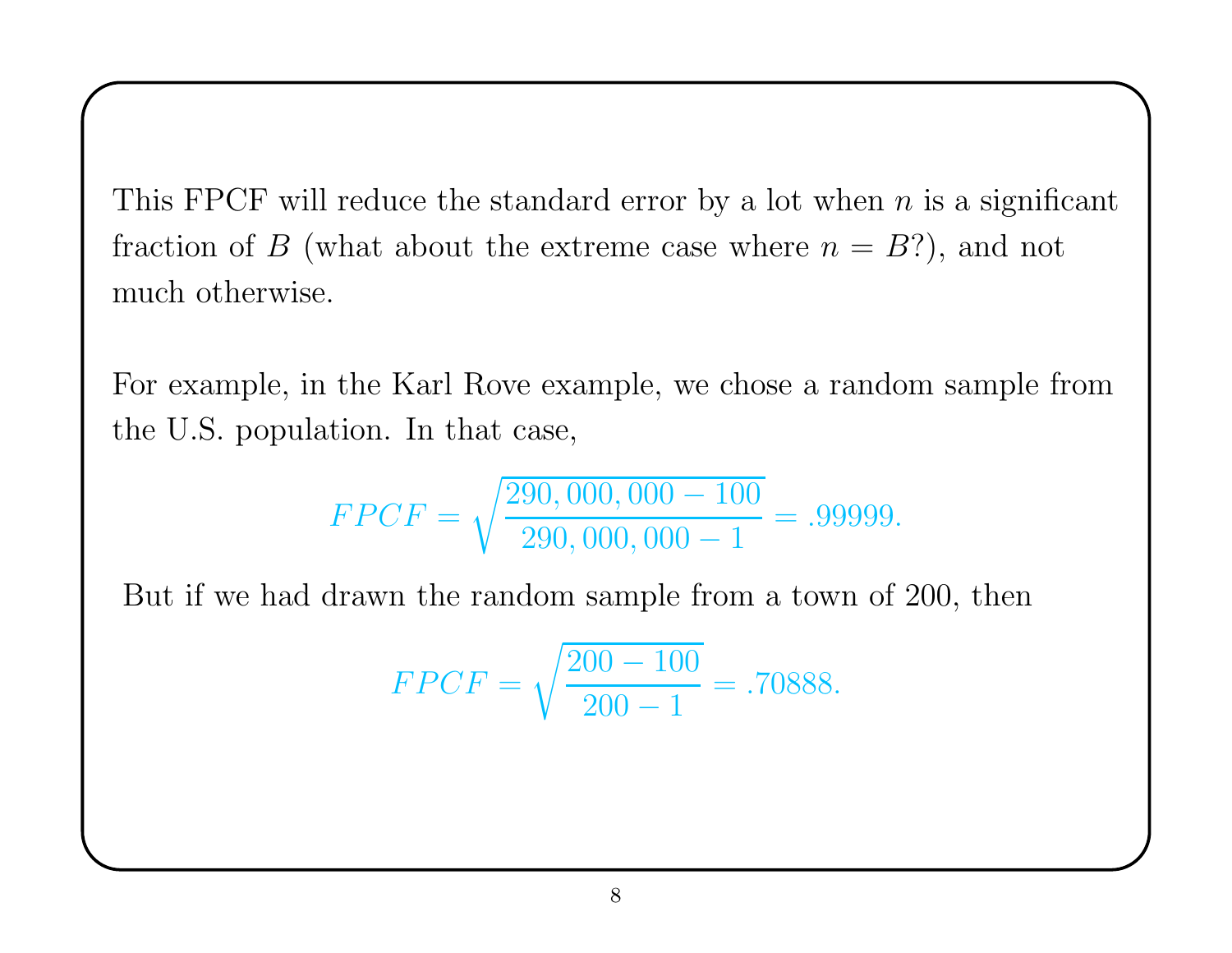This FPCF will reduce the standard error by a lot when  $n$  is a significant fraction of B (what about the extreme case where  $n = B$ ?), and not much otherwise.

For example, in the Karl Rove example, we chose <sup>a</sup> random sample from the U.S. population. In that case,

$$
FPCF = \sqrt{\frac{290,000,000 - 100}{290,000,000 - 1}} = .99999.
$$

But if we had drawn the random sample from <sup>a</sup> town of 200, then

$$
FPCF = \sqrt{\frac{200 - 100}{200 - 1}} = .70888.
$$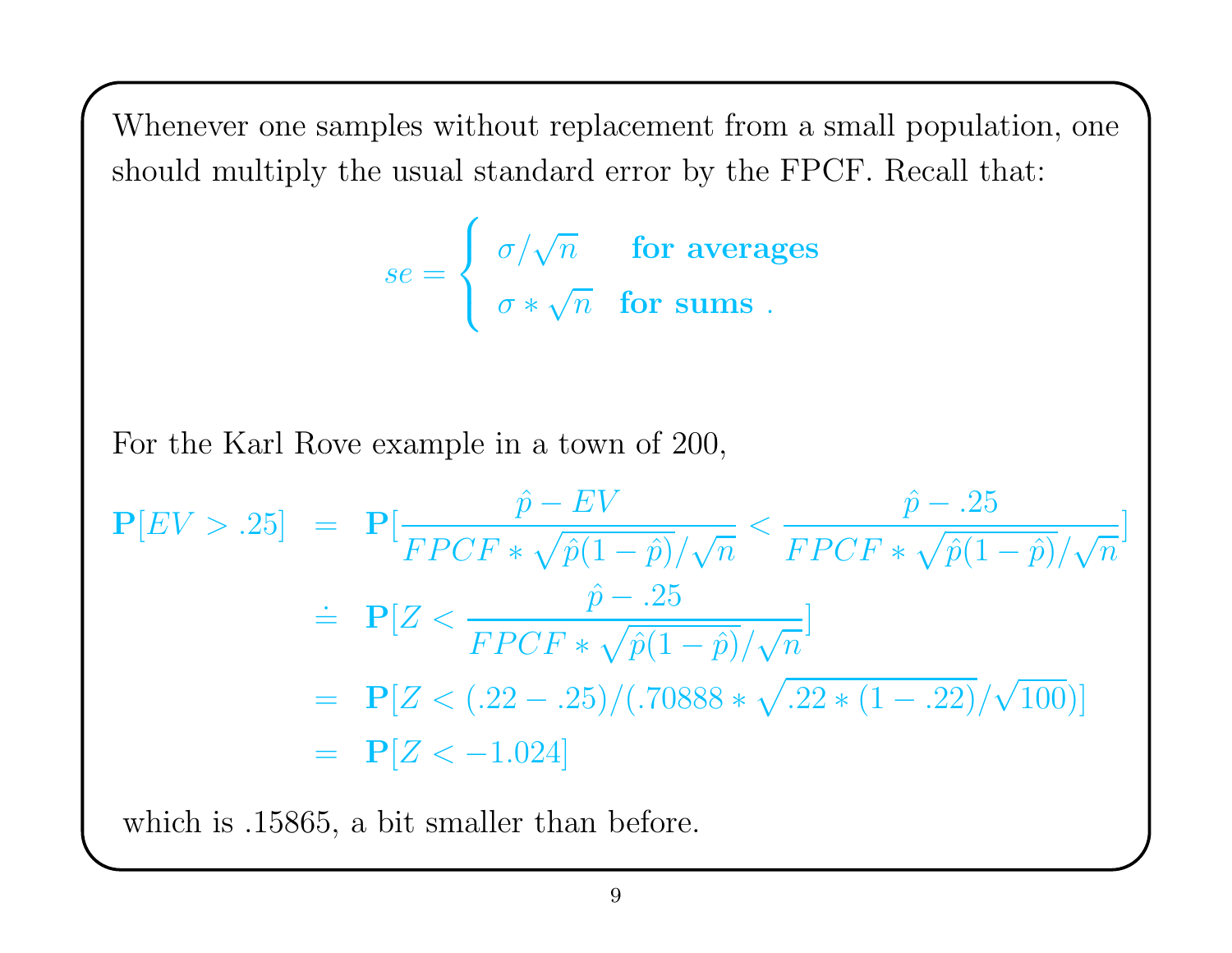Whenever one samples without replacement from <sup>a</sup> small population, one should multiply the usual standard error by the FPCF. Recall that:

$$
se = \left\{ \begin{array}{ll} \sigma/\sqrt{n} & \text{for averages} \\ \sigma * \sqrt{n} & \text{for sums} \end{array} \right.
$$

For the Karl Rove example in <sup>a</sup> town of 200,

$$
\mathbf{P}[EV > .25] = \mathbf{P}[\frac{\hat{p} - EV}{FPCF * \sqrt{\hat{p}(1-\hat{p})}/\sqrt{n}} < \frac{\hat{p} - .25}{FPCF * \sqrt{\hat{p}(1-\hat{p})}/\sqrt{n}}]
$$
\n
$$
\begin{aligned}\n&= \mathbf{P}[Z < \frac{\hat{p} - .25}{FPCF * \sqrt{\hat{p}(1-\hat{p})}/\sqrt{n}}] \\
&= \mathbf{P}[Z < (.22 - .25) / (.70888 * \sqrt{.22 * (1 - .22)} / \sqrt{100})] \\
&= \mathbf{P}[Z < -1.024]\n\end{aligned}
$$

which is .15865, <sup>a</sup> bit smaller than before.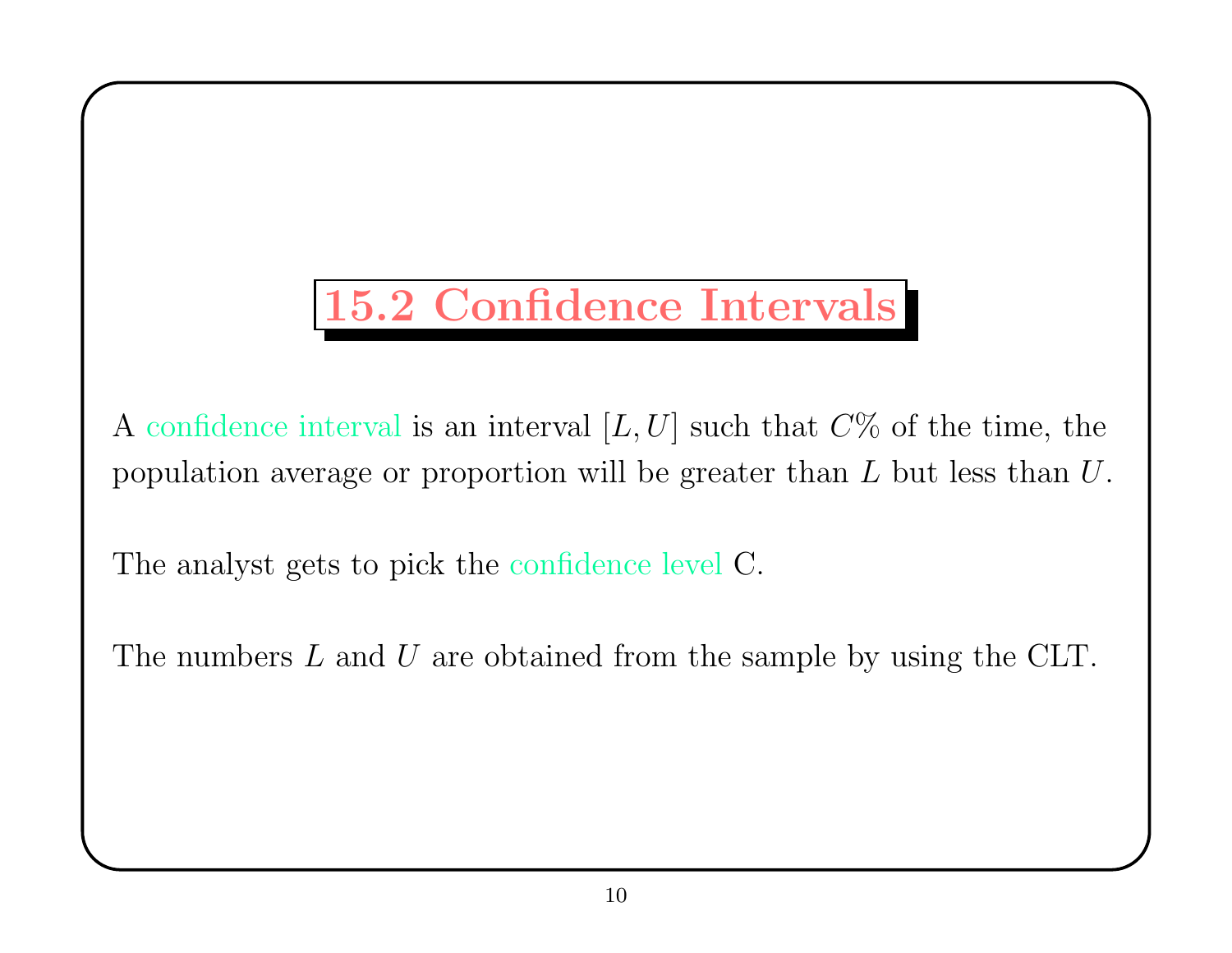## 15.2 Confidence Intervals

A confidence interval is an interval  $[L, U]$  such that  $C\%$  of the time, the population average or proportion will be greater than L but less than U.

The analyst gets to <sup>p</sup>ick the confidence level C.

The numbers L and U are obtained from the sample by using the CLT.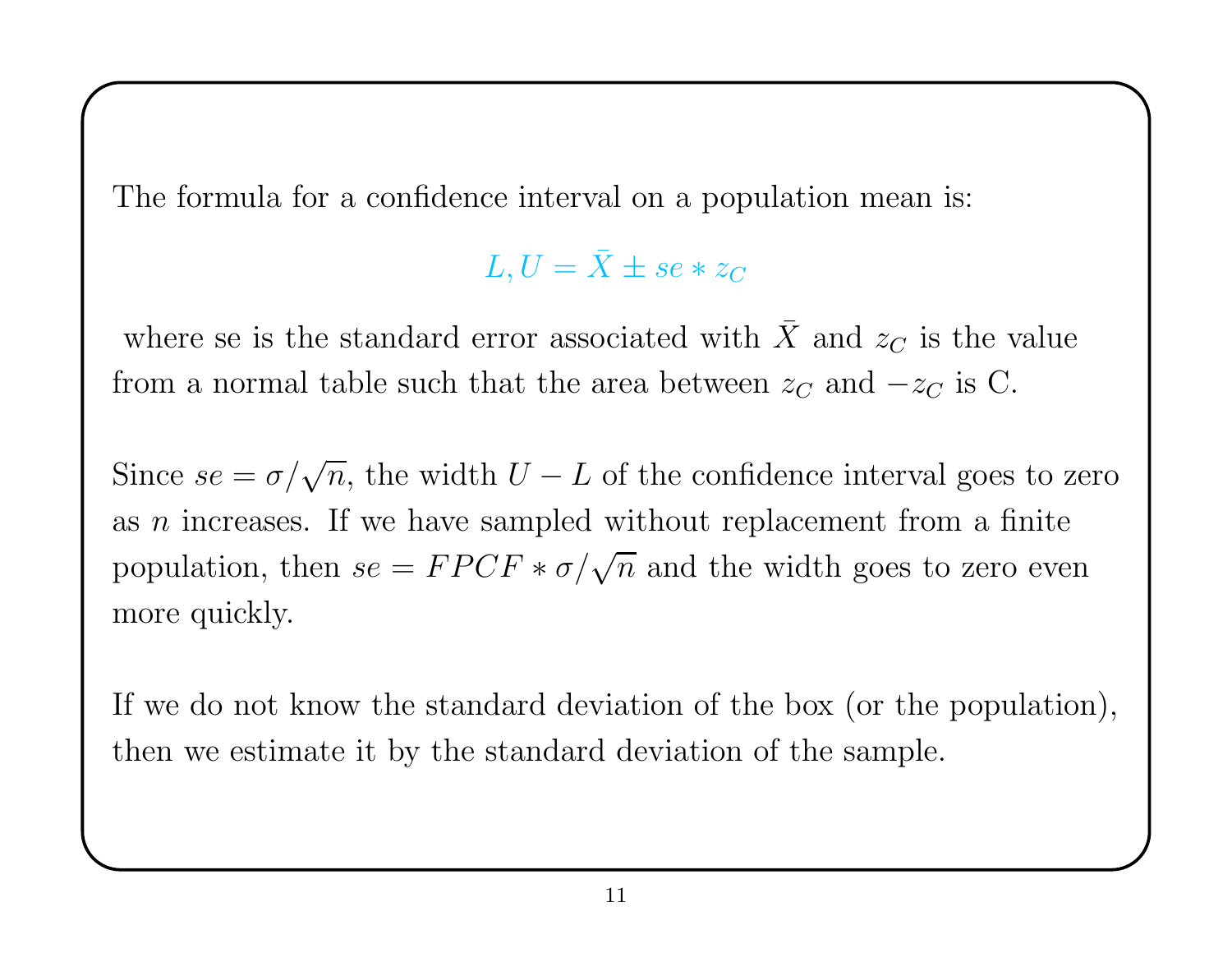The formula for <sup>a</sup> confidence interval on <sup>a</sup> population mean is:

 $L,U=\bar{X}$  $X \pm se * z_C$ 

where se is the standard error associated with  $\bar{X}$ and  $z_C$  is the value from a normal table such that the area between  $z_C$  and  $-z_C$  is C.

Since  $se = \sigma/\sqrt{n}$ , the width  $U - L$  of the confidence interval goes to zero as *n* increases. If we have sampled without replacement from a finite population, then  $se = FPCF * \sigma/\sqrt{n}$  and the width goes to zero even more quickly.

If we do not know the standard deviation of the box (or the population), then we estimate it by the standard deviation of the sample.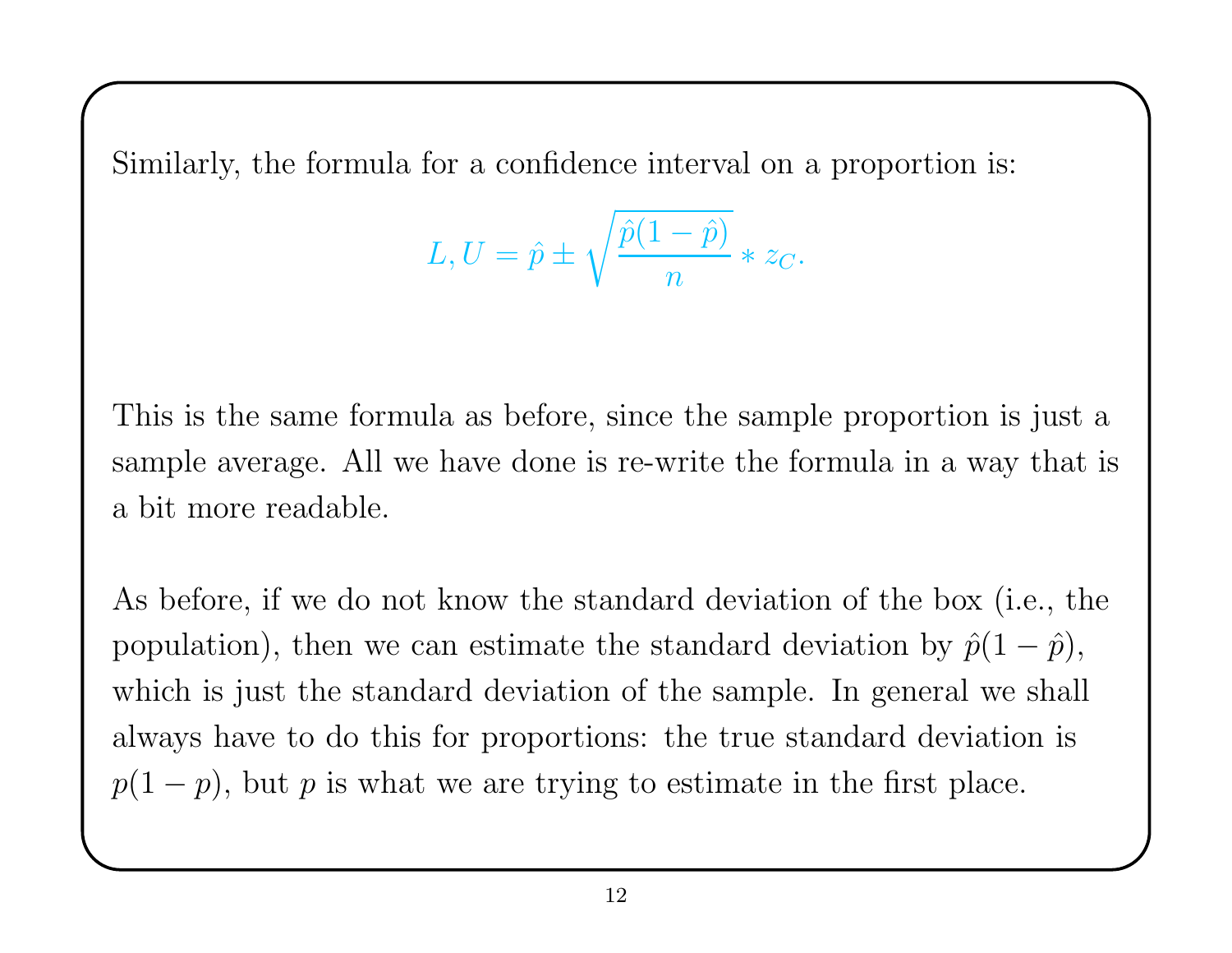Similarly, the formula for <sup>a</sup> confidence interval on <sup>a</sup> proportion is:

$$
L,U=\hat{p}\pm\sqrt{\frac{\hat{p}(1-\hat{p})}{n}}*z_{C}.
$$

This is the same formula as before, since the sample proportion is just <sup>a</sup> sample average. All we have done is re-write the formula in <sup>a</sup> way that is <sup>a</sup> bit more readable.

As before, if we do not know the standard deviation of the box (i.e., the population), then we can estimate the standard deviation by  $\hat{p}(1-\hat{p})$ , which is just the standard deviation of the sample. In general we shall always have to do this for proportions: the true standard deviation is  $p(1-p)$ , but p is what we are trying to estimate in the first place.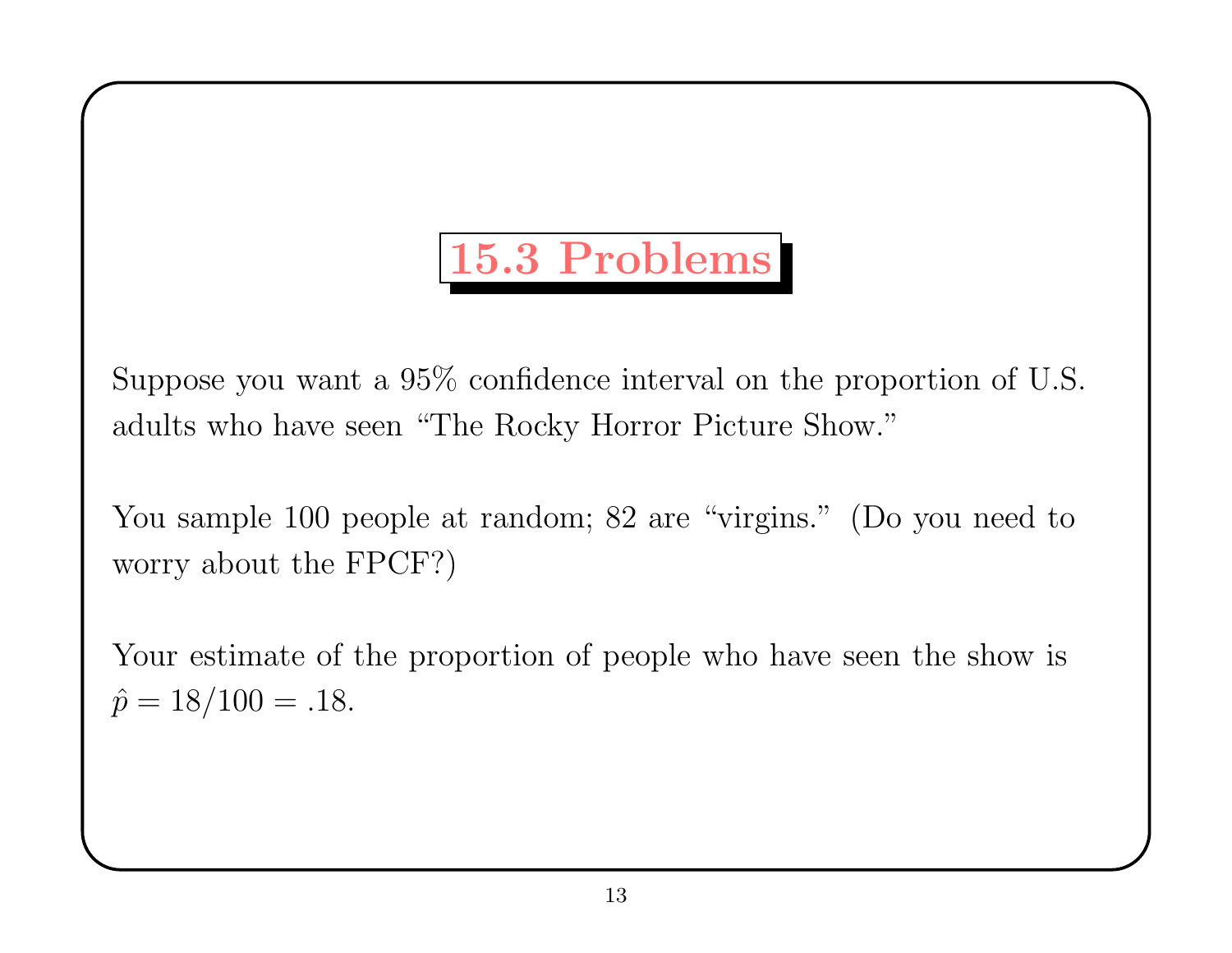## 15.3 Problems

Suppose you want <sup>a</sup> 95% confidence interval on the proportion of U.S. adults who have seen "The Rocky Horror Picture Show."

You sample 100 people at random; 82 are "virgins." (Do you need to worry about the FPCF?)

Your estimate of the proportion of people who have seen the show is  $\hat{p}$  $\hat{p} = 18/100 = .18.$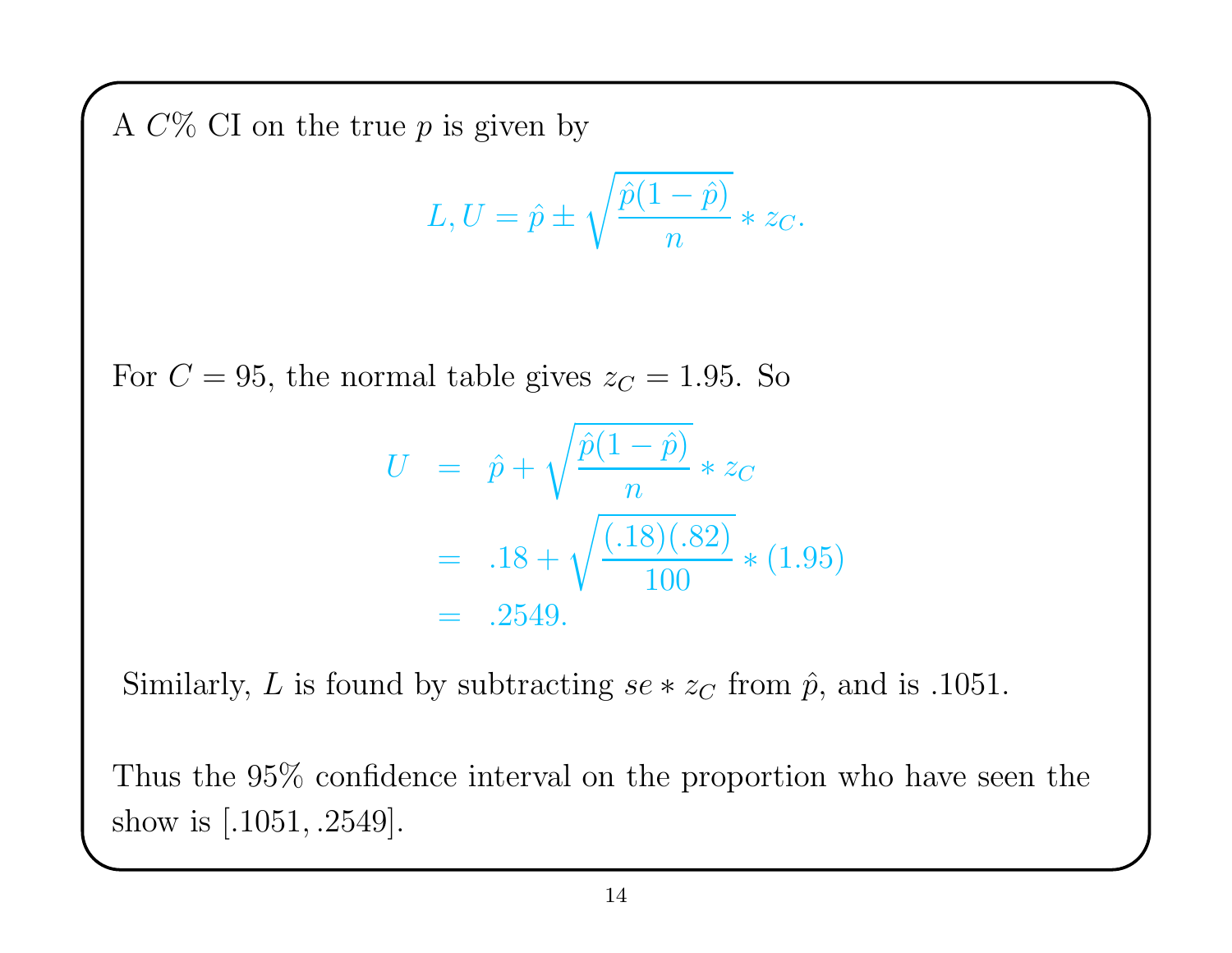A  $C\%$  CI on the true  $p$  is given by

$$
L, U = \hat{p} \pm \sqrt{\frac{\hat{p}(1-\hat{p})}{n}} * z_C.
$$

For  $C = 95$ , the normal table gives  $z<sub>C</sub> = 1.95$ . So

$$
U = \hat{p} + \sqrt{\frac{\hat{p}(1-\hat{p})}{n}} * z_C
$$
  
= .18 +  $\sqrt{\frac{(.18)(.82)}{100}} * (1.95)$   
= .2549.

Similarly, L is found by subtracting  $se * z<sub>C</sub>$  from  $\hat{p}$ , and is .1051.

Thus the 95% confidence interval on the proportion who have seen the show is [.1051, .2549].